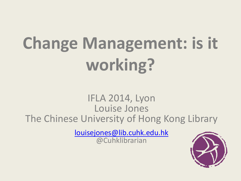# **Change Management: is it working?**

#### IFLA 2014, Lyon Louise Jones The Chinese Universit[y](mailto:louisejones@lib.cuhk.edu.hk) of Hong Kong Library

[louisejones@lib.cuhk.edu.hk](mailto:louisejones@lib.cuhk.edu.hk) @Cuhklibrarian

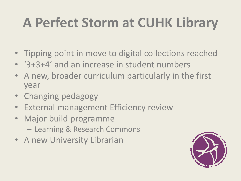### **A Perfect Storm at CUHK Library**

- Tipping point in move to digital collections reached
- '3+3+4' and an increase in student numbers
- A new, broader curriculum particularly in the first year
- Changing pedagogy
- External management Efficiency review
- Major build programme – Learning & Research Commons
- A new University Librarian

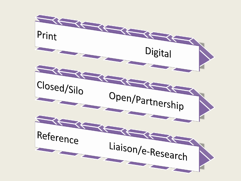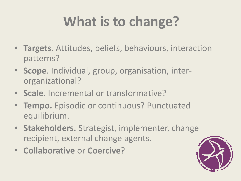## **What is to change?**

- **Targets**. Attitudes, beliefs, behaviours, interaction patterns?
- **Scope**. Individual, group, organisation, interorganizational?
- **Scale**. Incremental or transformative?
- **Tempo.** Episodic or continuous? Punctuated equilibrium.
- **Stakeholders.** Strategist, implementer, change recipient, external change agents.
- **Collaborative** or **Coercive**?

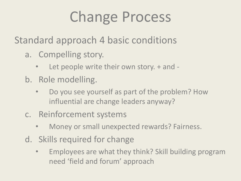## Change Process

Standard approach 4 basic conditions

- a. Compelling story.
	- Let people write their own story. + and -
- b. Role modelling.
	- Do you see yourself as part of the problem? How influential are change leaders anyway?
- c. Reinforcement systems
	- Money or small unexpected rewards? Fairness.
- d. Skills required for change
	- Employees are what they think? Skill building program need 'field and forum' approach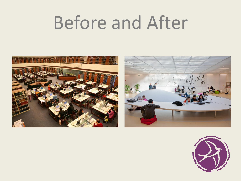# Before and After





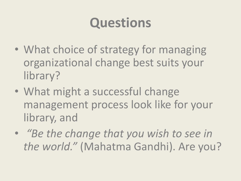#### **Questions**

- What choice of strategy for managing organizational change best suits your library?
- What might a successful change management process look like for your library, and
- *"Be the change that you wish to see in the world."* (Mahatma Gandhi). Are you?